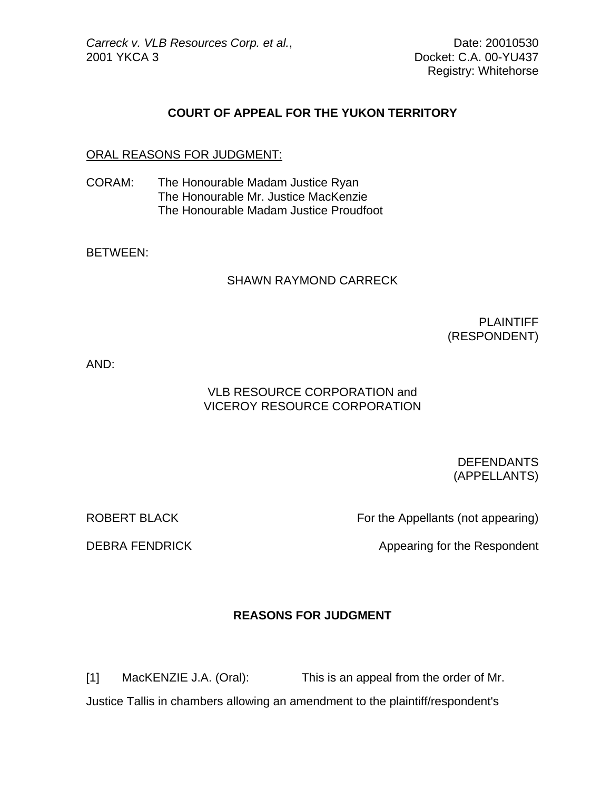Registry: Whitehorse

## **COURT OF APPEAL FOR THE YUKON TERRITORY**

### ORAL REASONS FOR JUDGMENT:

CORAM: The Honourable Madam Justice Ryan The Honourable Mr. Justice MacKenzie The Honourable Madam Justice Proudfoot

BETWEEN:

#### SHAWN RAYMOND CARRECK

PLAINTIFF (RESPONDENT)

AND:

# VLB RESOURCE CORPORATION and VICEROY RESOURCE CORPORATION

 DEFENDANTS (APPELLANTS)

ROBERT BLACK For the Appellants (not appearing)

DEBRA FENDRICK Appearing for the Respondent

# **REASONS FOR JUDGMENT**

[1] MacKENZIE J.A. (Oral): This is an appeal from the order of Mr. Justice Tallis in chambers allowing an amendment to the plaintiff/respondent's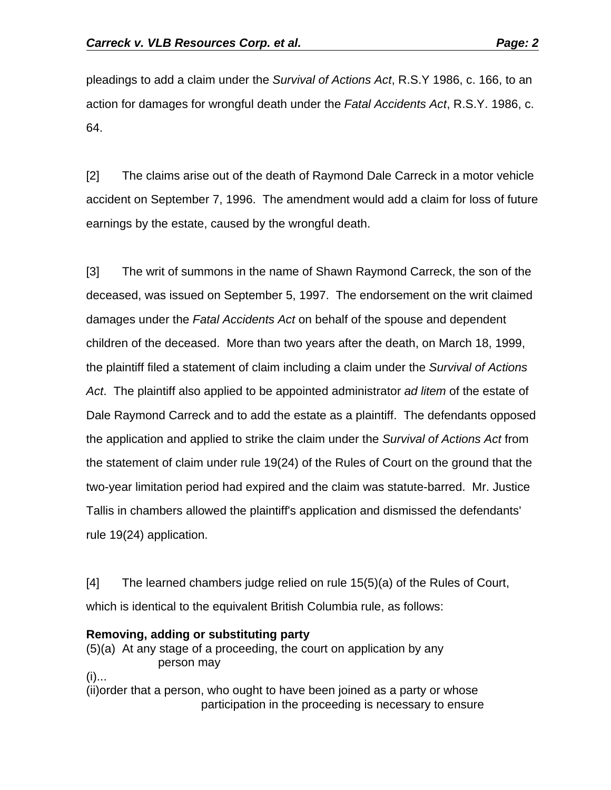pleadings to add a claim under the *Survival of Actions Act*, R.S.Y 1986, c. 166, to an action for damages for wrongful death under the *Fatal Accidents Act*, R.S.Y. 1986, c. 64.

[2] The claims arise out of the death of Raymond Dale Carreck in a motor vehicle accident on September 7, 1996. The amendment would add a claim for loss of future earnings by the estate, caused by the wrongful death.

[3] The writ of summons in the name of Shawn Raymond Carreck, the son of the deceased, was issued on September 5, 1997. The endorsement on the writ claimed damages under the *Fatal Accidents Act* on behalf of the spouse and dependent children of the deceased. More than two years after the death, on March 18, 1999, the plaintiff filed a statement of claim including a claim under the *Survival of Actions Act*. The plaintiff also applied to be appointed administrator *ad litem* of the estate of Dale Raymond Carreck and to add the estate as a plaintiff. The defendants opposed the application and applied to strike the claim under the *Survival of Actions Act* from the statement of claim under rule 19(24) of the Rules of Court on the ground that the two-year limitation period had expired and the claim was statute-barred. Mr. Justice Tallis in chambers allowed the plaintiff's application and dismissed the defendants' rule 19(24) application.

[4] The learned chambers judge relied on rule 15(5)(a) of the Rules of Court, which is identical to the equivalent British Columbia rule, as follows:

### **Removing, adding or substituting party**

(5)(a) At any stage of a proceeding, the court on application by any person may

 $(i)$ ...

(ii)order that a person, who ought to have been joined as a party or whose participation in the proceeding is necessary to ensure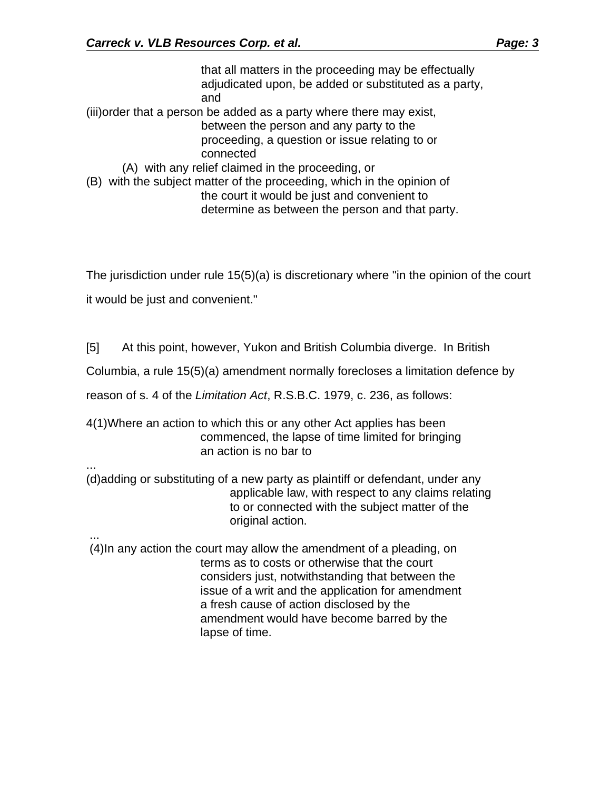that all matters in the proceeding may be effectually adjudicated upon, be added or substituted as a party, and (iii)order that a person be added as a party where there may exist, between the person and any party to the proceeding, a question or issue relating to or connected (A) with any relief claimed in the proceeding, or (B) with the subject matter of the proceeding, which in the opinion of the court it would be just and convenient to determine as between the person and that party.

The jurisdiction under rule 15(5)(a) is discretionary where "in the opinion of the court

it would be just and convenient."

...

...

[5] At this point, however, Yukon and British Columbia diverge. In British

Columbia, a rule 15(5)(a) amendment normally forecloses a limitation defence by

reason of s. 4 of the *Limitation Act*, R.S.B.C. 1979, c. 236, as follows:

4(1)Where an action to which this or any other Act applies has been commenced, the lapse of time limited for bringing an action is no bar to

(d)adding or substituting of a new party as plaintiff or defendant, under any applicable law, with respect to any claims relating to or connected with the subject matter of the original action.

 (4)In any action the court may allow the amendment of a pleading, on terms as to costs or otherwise that the court considers just, notwithstanding that between the issue of a writ and the application for amendment a fresh cause of action disclosed by the amendment would have become barred by the lapse of time.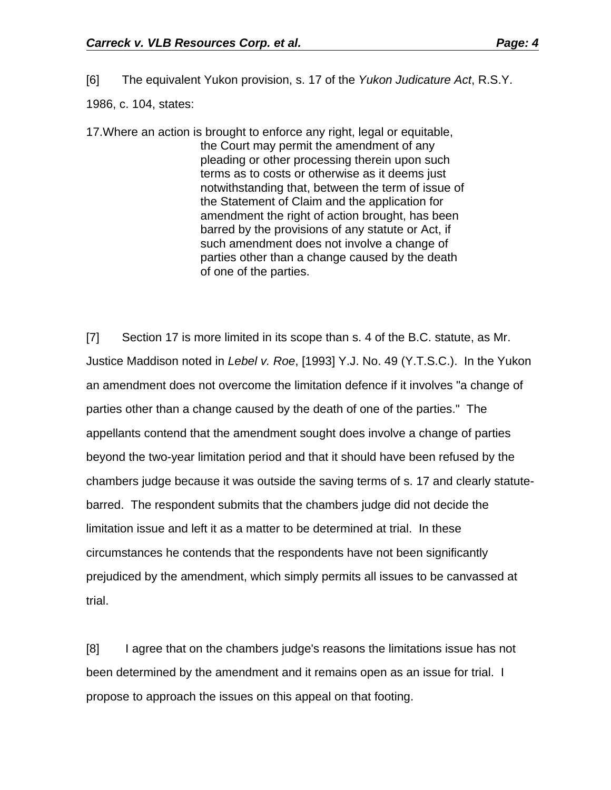[6] The equivalent Yukon provision, s. 17 of the *Yukon Judicature Act*, R.S.Y.

1986, c. 104, states:

17.Where an action is brought to enforce any right, legal or equitable, the Court may permit the amendment of any pleading or other processing therein upon such terms as to costs or otherwise as it deems just notwithstanding that, between the term of issue of the Statement of Claim and the application for amendment the right of action brought, has been barred by the provisions of any statute or Act, if such amendment does not involve a change of parties other than a change caused by the death of one of the parties.

[7] Section 17 is more limited in its scope than s. 4 of the B.C. statute, as Mr. Justice Maddison noted in *Lebel v. Roe*, [1993] Y.J. No. 49 (Y.T.S.C.). In the Yukon an amendment does not overcome the limitation defence if it involves "a change of parties other than a change caused by the death of one of the parties." The appellants contend that the amendment sought does involve a change of parties beyond the two-year limitation period and that it should have been refused by the chambers judge because it was outside the saving terms of s. 17 and clearly statutebarred. The respondent submits that the chambers judge did not decide the limitation issue and left it as a matter to be determined at trial. In these circumstances he contends that the respondents have not been significantly prejudiced by the amendment, which simply permits all issues to be canvassed at trial.

[8] I agree that on the chambers judge's reasons the limitations issue has not been determined by the amendment and it remains open as an issue for trial. I propose to approach the issues on this appeal on that footing.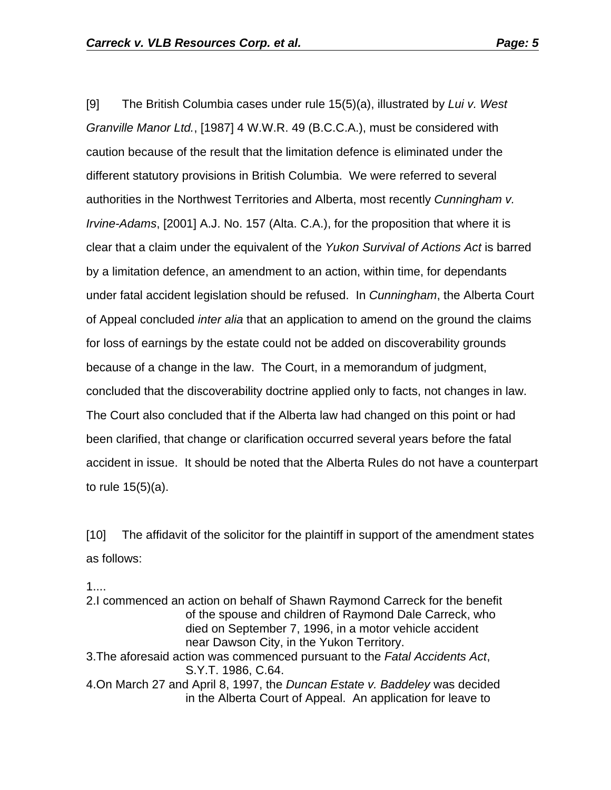[9] The British Columbia cases under rule 15(5)(a), illustrated by *Lui v. West Granville Manor Ltd.*, [1987] 4 W.W.R. 49 (B.C.C.A.), must be considered with caution because of the result that the limitation defence is eliminated under the different statutory provisions in British Columbia. We were referred to several authorities in the Northwest Territories and Alberta, most recently *Cunningham v. Irvine-Adams*, [2001] A.J. No. 157 (Alta. C.A.), for the proposition that where it is clear that a claim under the equivalent of the *Yukon Survival of Actions Act* is barred by a limitation defence, an amendment to an action, within time, for dependants under fatal accident legislation should be refused. In *Cunningham*, the Alberta Court of Appeal concluded *inter alia* that an application to amend on the ground the claims for loss of earnings by the estate could not be added on discoverability grounds because of a change in the law. The Court, in a memorandum of judgment, concluded that the discoverability doctrine applied only to facts, not changes in law. The Court also concluded that if the Alberta law had changed on this point or had been clarified, that change or clarification occurred several years before the fatal accident in issue. It should be noted that the Alberta Rules do not have a counterpart to rule 15(5)(a).

[10] The affidavit of the solicitor for the plaintiff in support of the amendment states as follows:

1....

2.I commenced an action on behalf of Shawn Raymond Carreck for the benefit of the spouse and children of Raymond Dale Carreck, who died on September 7, 1996, in a motor vehicle accident near Dawson City, in the Yukon Territory. 3.The aforesaid action was commenced pursuant to the *Fatal Accidents Act*, S.Y.T. 1986, C.64. 4.On March 27 and April 8, 1997, the *Duncan Estate v. Baddeley* was decided in the Alberta Court of Appeal. An application for leave to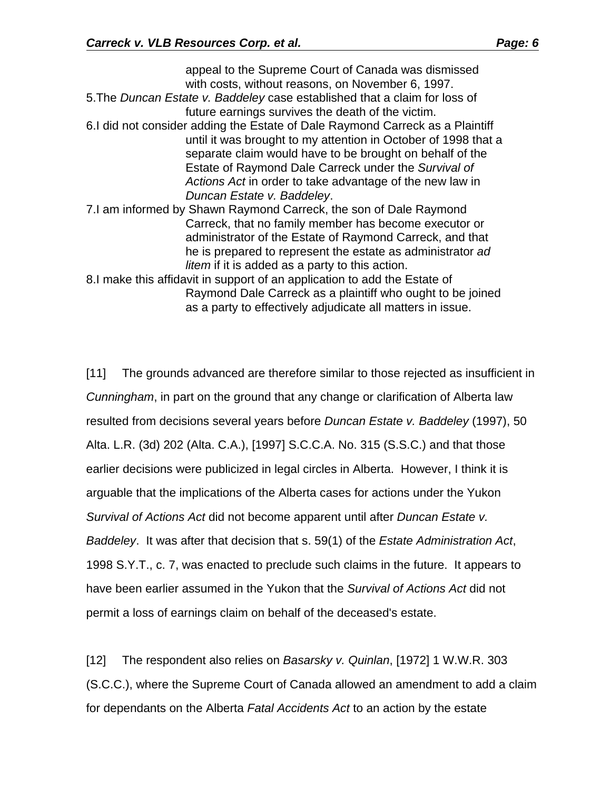appeal to the Supreme Court of Canada was dismissed with costs, without reasons, on November 6, 1997. 5.The *Duncan Estate v. Baddeley* case established that a claim for loss of future earnings survives the death of the victim. 6.I did not consider adding the Estate of Dale Raymond Carreck as a Plaintiff until it was brought to my attention in October of 1998 that a separate claim would have to be brought on behalf of the Estate of Raymond Dale Carreck under the *Survival of Actions Act* in order to take advantage of the new law in *Duncan Estate v. Baddeley*. 7.I am informed by Shawn Raymond Carreck, the son of Dale Raymond Carreck, that no family member has become executor or administrator of the Estate of Raymond Carreck, and that he is prepared to represent the estate as administrator *ad litem* if it is added as a party to this action. 8.I make this affidavit in support of an application to add the Estate of Raymond Dale Carreck as a plaintiff who ought to be joined as a party to effectively adjudicate all matters in issue.

[11] The grounds advanced are therefore similar to those rejected as insufficient in *Cunningham*, in part on the ground that any change or clarification of Alberta law resulted from decisions several years before *Duncan Estate v. Baddeley* (1997), 50 Alta. L.R. (3d) 202 (Alta. C.A.), [1997] S.C.C.A. No. 315 (S.S.C.) and that those earlier decisions were publicized in legal circles in Alberta. However, I think it is arguable that the implications of the Alberta cases for actions under the Yukon *Survival of Actions Act* did not become apparent until after *Duncan Estate v. Baddeley*. It was after that decision that s. 59(1) of the *Estate Administration Act*, 1998 S.Y.T., c. 7, was enacted to preclude such claims in the future. It appears to have been earlier assumed in the Yukon that the *Survival of Actions Act* did not permit a loss of earnings claim on behalf of the deceased's estate.

[12] The respondent also relies on *Basarsky v. Quinlan*, [1972] 1 W.W.R. 303 (S.C.C.), where the Supreme Court of Canada allowed an amendment to add a claim for dependants on the Alberta *Fatal Accidents Act* to an action by the estate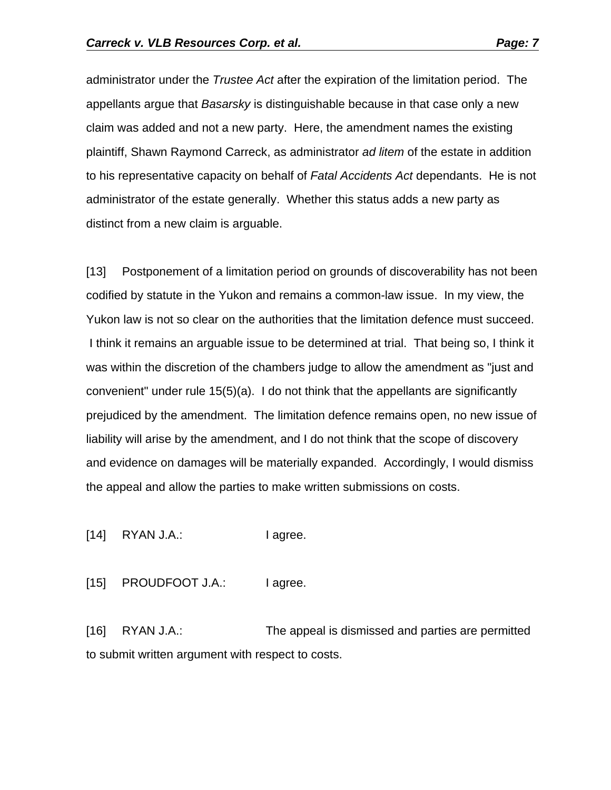administrator under the *Trustee Act* after the expiration of the limitation period. The appellants argue that *Basarsky* is distinguishable because in that case only a new claim was added and not a new party. Here, the amendment names the existing plaintiff, Shawn Raymond Carreck, as administrator *ad litem* of the estate in addition to his representative capacity on behalf of *Fatal Accidents Act* dependants. He is not administrator of the estate generally. Whether this status adds a new party as distinct from a new claim is arguable.

[13] Postponement of a limitation period on grounds of discoverability has not been codified by statute in the Yukon and remains a common-law issue. In my view, the Yukon law is not so clear on the authorities that the limitation defence must succeed. I think it remains an arguable issue to be determined at trial. That being so, I think it was within the discretion of the chambers judge to allow the amendment as "just and convenient" under rule 15(5)(a). I do not think that the appellants are significantly prejudiced by the amendment. The limitation defence remains open, no new issue of liability will arise by the amendment, and I do not think that the scope of discovery and evidence on damages will be materially expanded. Accordingly, I would dismiss the appeal and allow the parties to make written submissions on costs.

[14] RYAN J.A.: I agree.

[15] PROUDFOOT J.A.: I agree.

[16] RYAN J.A.: The appeal is dismissed and parties are permitted to submit written argument with respect to costs.